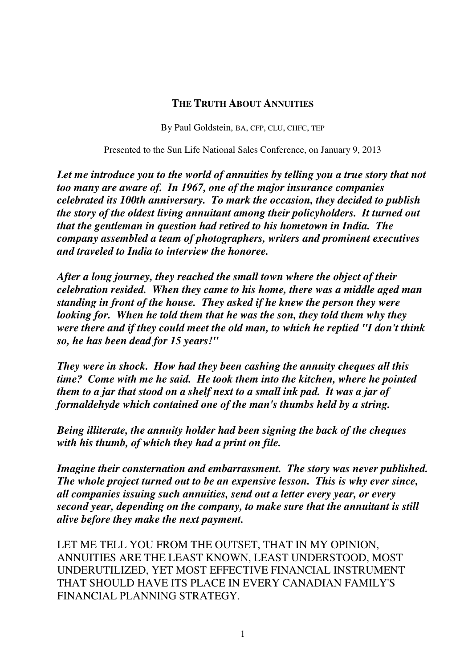#### **THE TRUTH ABOUT ANNUITIES**

By Paul Goldstein, BA, CFP, CLU, CHFC, TEP

Presented to the Sun Life National Sales Conference, on January 9, 2013

Let me introduce you to the world of annuities by telling you a true story that not *too many are aware of. In 1967, one of the major insurance companies celebrated its 100th anniversary. To mark the occasion, they decided to publish the story of the oldest living annuitant among their policyholders. It turned out that the gentleman in question had retired to his hometown in India. The company assembled a team of photographers, writers and prominent executives and traveled to India to interview the honoree.* 

*After a long journey, they reached the small town where the object of their celebration resided. When they came to his home, there was a middle aged man standing in front of the house. They asked if he knew the person they were looking for. When he told them that he was the son, they told them why they were there and if they could meet the old man, to which he replied "I don't think so, he has been dead for 15 years!"* 

*They were in shock. How had they been cashing the annuity cheques all this time? Come with me he said. He took them into the kitchen, where he pointed them to a jar that stood on a shelf next to a small ink pad. It was a jar of formaldehyde which contained one of the man's thumbs held by a string.* 

*Being illiterate, the annuity holder had been signing the back of the cheques with his thumb, of which they had a print on file.* 

*Imagine their consternation and embarrassment. The story was never published. The whole project turned out to be an expensive lesson. This is why ever since, all companies issuing such annuities, send out a letter every year, or every second year, depending on the company, to make sure that the annuitant is still alive before they make the next payment.* 

LET ME TELL YOU FROM THE OUTSET, THAT IN MY OPINION, ANNUITIES ARE THE LEAST KNOWN, LEAST UNDERSTOOD, MOST UNDERUTILIZED, YET MOST EFFECTIVE FINANCIAL INSTRUMENT THAT SHOULD HAVE ITS PLACE IN EVERY CANADIAN FAMILY'S FINANCIAL PLANNING STRATEGY.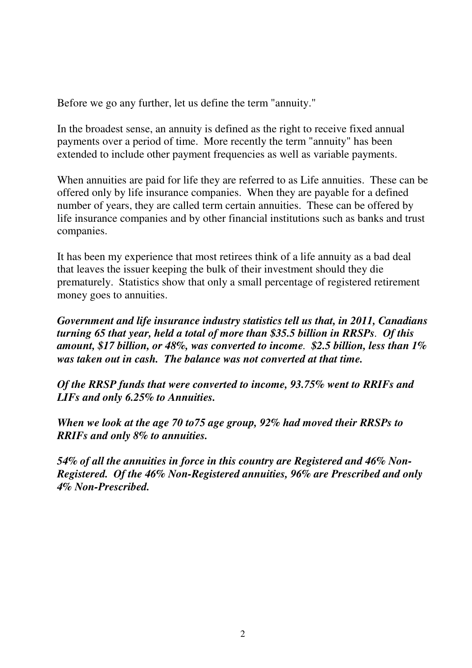Before we go any further, let us define the term "annuity."

In the broadest sense, an annuity is defined as the right to receive fixed annual payments over a period of time. More recently the term "annuity" has been extended to include other payment frequencies as well as variable payments.

When annuities are paid for life they are referred to as Life annuities. These can be offered only by life insurance companies. When they are payable for a defined number of years, they are called term certain annuities. These can be offered by life insurance companies and by other financial institutions such as banks and trust companies.

It has been my experience that most retirees think of a life annuity as a bad deal that leaves the issuer keeping the bulk of their investment should they die prematurely. Statistics show that only a small percentage of registered retirement money goes to annuities.

*Government and life insurance industry statistics tell us that, in 2011, Canadians turning 65 that year, held a total of more than \$35.5 billion in RRSPs. Of this amount, \$17 billion, or 48%, was converted to income. \$2.5 billion, less than 1% was taken out in cash. The balance was not converted at that time.* 

*Of the RRSP funds that were converted to income, 93.75% went to RRIFs and LIFs and only 6.25% to Annuities.* 

*When we look at the age 70 to75 age group, 92% had moved their RRSPs to RRIFs and only 8% to annuities.*

*54% of all the annuities in force in this country are Registered and 46% Non-Registered. Of the 46% Non-Registered annuities, 96% are Prescribed and only 4% Non-Prescribed.*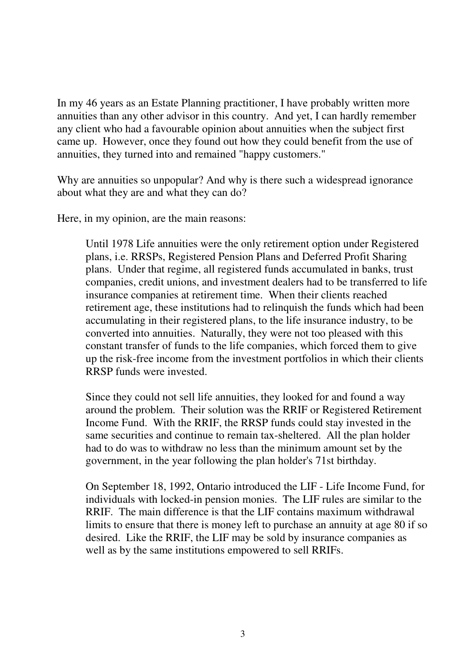In my 46 years as an Estate Planning practitioner, I have probably written more annuities than any other advisor in this country. And yet, I can hardly remember any client who had a favourable opinion about annuities when the subject first came up. However, once they found out how they could benefit from the use of annuities, they turned into and remained "happy customers."

Why are annuities so unpopular? And why is there such a widespread ignorance about what they are and what they can do?

Here, in my opinion, are the main reasons:

Until 1978 Life annuities were the only retirement option under Registered plans, i.e. RRSPs, Registered Pension Plans and Deferred Profit Sharing plans. Under that regime, all registered funds accumulated in banks, trust companies, credit unions, and investment dealers had to be transferred to life insurance companies at retirement time. When their clients reached retirement age, these institutions had to relinquish the funds which had been accumulating in their registered plans, to the life insurance industry, to be converted into annuities. Naturally, they were not too pleased with this constant transfer of funds to the life companies, which forced them to give up the risk-free income from the investment portfolios in which their clients RRSP funds were invested.

 Since they could not sell life annuities, they looked for and found a way around the problem. Their solution was the RRIF or Registered Retirement Income Fund. With the RRIF, the RRSP funds could stay invested in the same securities and continue to remain tax-sheltered. All the plan holder had to do was to withdraw no less than the minimum amount set by the government, in the year following the plan holder's 71st birthday.

 On September 18, 1992, Ontario introduced the LIF - Life Income Fund, for individuals with locked-in pension monies. The LIF rules are similar to the RRIF. The main difference is that the LIF contains maximum withdrawal limits to ensure that there is money left to purchase an annuity at age 80 if so desired. Like the RRIF, the LIF may be sold by insurance companies as well as by the same institutions empowered to sell RRIFs.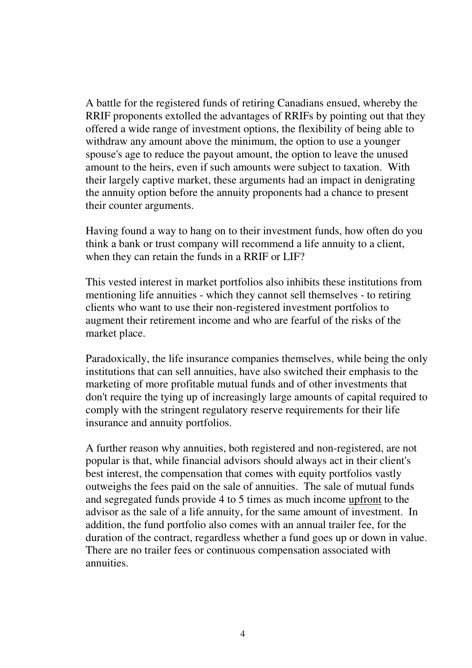A battle for the registered funds of retiring Canadians ensued, whereby the RRIF proponents extolled the advantages of RRIFs by pointing out that they offered a wide range of investment options, the flexibility of being able to withdraw any amount above the minimum, the option to use a younger spouse's age to reduce the payout amount, the option to leave the unused amount to the heirs, even if such amounts were subject to taxation. With their largely captive market, these arguments had an impact in denigrating the annuity option before the annuity proponents had a chance to present their counter arguments.

 Having found a way to hang on to their investment funds, how often do you think a bank or trust company will recommend a life annuity to a client, when they can retain the funds in a RRIF or LIF?

This vested interest in market portfolios also inhibits these institutions from mentioning life annuities - which they cannot sell themselves - to retiring clients who want to use their non-registered investment portfolios to augment their retirement income and who are fearful of the risks of the market place.

Paradoxically, the life insurance companies themselves, while being the only institutions that can sell annuities, have also switched their emphasis to the marketing of more profitable mutual funds and of other investments that don't require the tying up of increasingly large amounts of capital required to comply with the stringent regulatory reserve requirements for their life insurance and annuity portfolios.

 A further reason why annuities, both registered and non-registered, are not popular is that, while financial advisors should always act in their client's best interest, the compensation that comes with equity portfolios vastly outweighs the fees paid on the sale of annuities. The sale of mutual funds and segregated funds provide 4 to 5 times as much income upfront to the advisor as the sale of a life annuity, for the same amount of investment. In addition, the fund portfolio also comes with an annual trailer fee, for the duration of the contract, regardless whether a fund goes up or down in value. There are no trailer fees or continuous compensation associated with annuities.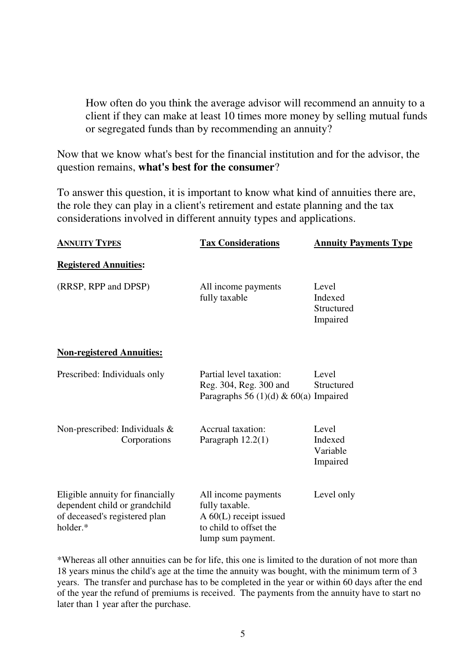How often do you think the average advisor will recommend an annuity to a client if they can make at least 10 times more money by selling mutual funds or segregated funds than by recommending an annuity?

Now that we know what's best for the financial institution and for the advisor, the question remains, **what's best for the consumer**?

To answer this question, it is important to know what kind of annuities there are, the role they can play in a client's retirement and estate planning and the tax considerations involved in different annuity types and applications.

| <b>ANNUITY TYPES</b>                                                                                           | <b>Tax Considerations</b>                                                                                         | <b>Annuity Payments Type</b>               |
|----------------------------------------------------------------------------------------------------------------|-------------------------------------------------------------------------------------------------------------------|--------------------------------------------|
| <b>Registered Annuities:</b>                                                                                   |                                                                                                                   |                                            |
| (RRSP, RPP and DPSP)                                                                                           | All income payments<br>fully taxable                                                                              | Level<br>Indexed<br>Structured<br>Impaired |
| <b>Non-registered Annuities:</b>                                                                               |                                                                                                                   |                                            |
| Prescribed: Individuals only                                                                                   | Partial level taxation:<br>Reg. 304, Reg. 300 and<br>Paragraphs 56 (1)(d) & 60(a) Impaired                        | Level<br>Structured                        |
| Non-prescribed: Individuals $\&$<br>Corporations                                                               | Accrual taxation:<br>Paragraph $12.2(1)$                                                                          | Level<br>Indexed<br>Variable<br>Impaired   |
| Eligible annuity for financially<br>dependent child or grandchild<br>of deceased's registered plan<br>holder.* | All income payments<br>fully taxable.<br>$A\ 60(L)$ receipt issued<br>to child to offset the<br>lump sum payment. | Level only                                 |

\*Whereas all other annuities can be for life, this one is limited to the duration of not more than 18 years minus the child's age at the time the annuity was bought, with the minimum term of 3 years. The transfer and purchase has to be completed in the year or within 60 days after the end of the year the refund of premiums is received. The payments from the annuity have to start no later than 1 year after the purchase.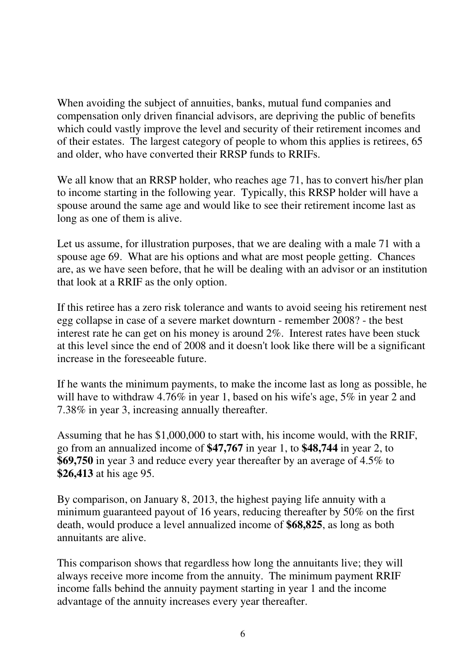When avoiding the subject of annuities, banks, mutual fund companies and compensation only driven financial advisors, are depriving the public of benefits which could vastly improve the level and security of their retirement incomes and of their estates. The largest category of people to whom this applies is retirees, 65 and older, who have converted their RRSP funds to RRIFs.

We all know that an RRSP holder, who reaches age 71, has to convert his/her plan to income starting in the following year. Typically, this RRSP holder will have a spouse around the same age and would like to see their retirement income last as long as one of them is alive.

Let us assume, for illustration purposes, that we are dealing with a male 71 with a spouse age 69. What are his options and what are most people getting. Chances are, as we have seen before, that he will be dealing with an advisor or an institution that look at a RRIF as the only option.

If this retiree has a zero risk tolerance and wants to avoid seeing his retirement nest egg collapse in case of a severe market downturn - remember 2008? - the best interest rate he can get on his money is around 2%. Interest rates have been stuck at this level since the end of 2008 and it doesn't look like there will be a significant increase in the foreseeable future.

If he wants the minimum payments, to make the income last as long as possible, he will have to withdraw 4.76% in year 1, based on his wife's age, 5% in year 2 and 7.38% in year 3, increasing annually thereafter.

Assuming that he has \$1,000,000 to start with, his income would, with the RRIF, go from an annualized income of **\$47,767** in year 1, to **\$48,744** in year 2, to **\$69,750** in year 3 and reduce every year thereafter by an average of 4.5% to **\$26,413** at his age 95.

By comparison, on January 8, 2013, the highest paying life annuity with a minimum guaranteed payout of 16 years, reducing thereafter by 50% on the first death, would produce a level annualized income of **\$68,825**, as long as both annuitants are alive.

This comparison shows that regardless how long the annuitants live; they will always receive more income from the annuity. The minimum payment RRIF income falls behind the annuity payment starting in year 1 and the income advantage of the annuity increases every year thereafter.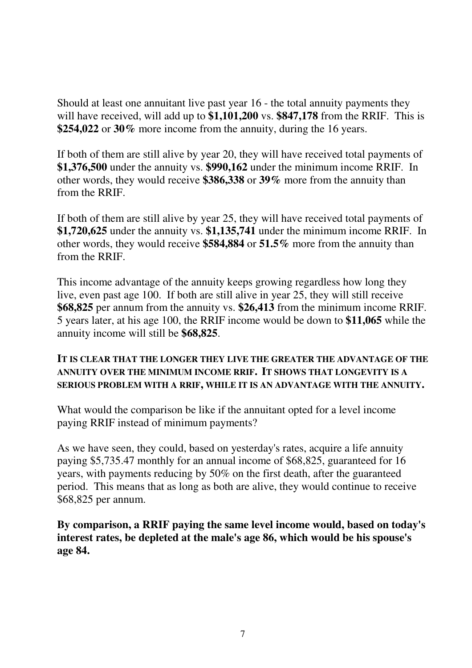Should at least one annuitant live past year 16 - the total annuity payments they will have received, will add up to **\$1,101,200** vs. **\$847,178** from the RRIF. This is **\$254,022** or **30%** more income from the annuity, during the 16 years.

If both of them are still alive by year 20, they will have received total payments of **\$1,376,500** under the annuity vs. **\$990,162** under the minimum income RRIF. In other words, they would receive **\$386,338** or **39%** more from the annuity than from the RRIF.

If both of them are still alive by year 25, they will have received total payments of **\$1,720,625** under the annuity vs. **\$1,135,741** under the minimum income RRIF. In other words, they would receive **\$584,884** or **51.5%** more from the annuity than from the RRIF.

This income advantage of the annuity keeps growing regardless how long they live, even past age 100. If both are still alive in year 25, they will still receive **\$68,825** per annum from the annuity vs. **\$26,413** from the minimum income RRIF. 5 years later, at his age 100, the RRIF income would be down to **\$11,065** while the annuity income will still be **\$68,825**.

#### **IT IS CLEAR THAT THE LONGER THEY LIVE THE GREATER THE ADVANTAGE OF THE ANNUITY OVER THE MINIMUM INCOME RRIF. IT SHOWS THAT LONGEVITY IS A SERIOUS PROBLEM WITH A RRIF, WHILE IT IS AN ADVANTAGE WITH THE ANNUITY.**

What would the comparison be like if the annuitant opted for a level income paying RRIF instead of minimum payments?

As we have seen, they could, based on yesterday's rates, acquire a life annuity paying \$5,735.47 monthly for an annual income of \$68,825, guaranteed for 16 years, with payments reducing by 50% on the first death, after the guaranteed period. This means that as long as both are alive, they would continue to receive \$68,825 per annum.

**By comparison, a RRIF paying the same level income would, based on today's interest rates, be depleted at the male's age 86, which would be his spouse's age 84.**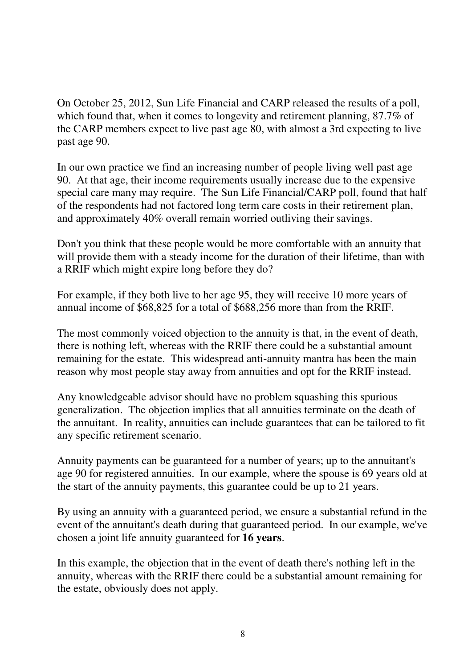On October 25, 2012, Sun Life Financial and CARP released the results of a poll, which found that, when it comes to longevity and retirement planning, 87.7% of the CARP members expect to live past age 80, with almost a 3rd expecting to live past age 90.

In our own practice we find an increasing number of people living well past age 90. At that age, their income requirements usually increase due to the expensive special care many may require. The Sun Life Financial/CARP poll, found that half of the respondents had not factored long term care costs in their retirement plan, and approximately 40% overall remain worried outliving their savings.

Don't you think that these people would be more comfortable with an annuity that will provide them with a steady income for the duration of their lifetime, than with a RRIF which might expire long before they do?

For example, if they both live to her age 95, they will receive 10 more years of annual income of \$68,825 for a total of \$688,256 more than from the RRIF.

The most commonly voiced objection to the annuity is that, in the event of death, there is nothing left, whereas with the RRIF there could be a substantial amount remaining for the estate. This widespread anti-annuity mantra has been the main reason why most people stay away from annuities and opt for the RRIF instead.

Any knowledgeable advisor should have no problem squashing this spurious generalization. The objection implies that all annuities terminate on the death of the annuitant. In reality, annuities can include guarantees that can be tailored to fit any specific retirement scenario.

Annuity payments can be guaranteed for a number of years; up to the annuitant's age 90 for registered annuities. In our example, where the spouse is 69 years old at the start of the annuity payments, this guarantee could be up to 21 years.

By using an annuity with a guaranteed period, we ensure a substantial refund in the event of the annuitant's death during that guaranteed period. In our example, we've chosen a joint life annuity guaranteed for **16 years**.

In this example, the objection that in the event of death there's nothing left in the annuity, whereas with the RRIF there could be a substantial amount remaining for the estate, obviously does not apply.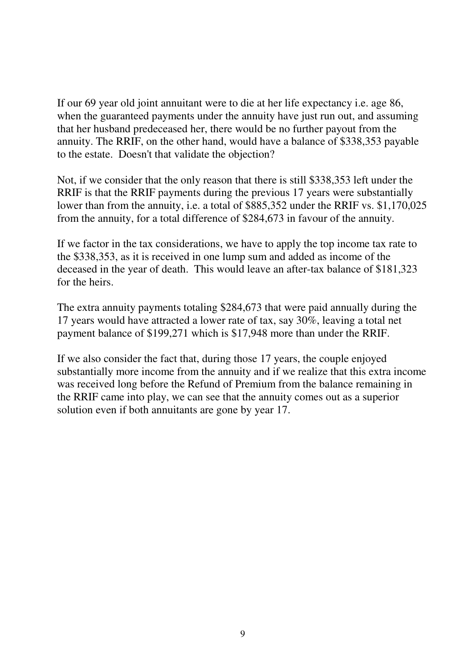If our 69 year old joint annuitant were to die at her life expectancy i.e. age 86, when the guaranteed payments under the annuity have just run out, and assuming that her husband predeceased her, there would be no further payout from the annuity. The RRIF, on the other hand, would have a balance of \$338,353 payable to the estate. Doesn't that validate the objection?

Not, if we consider that the only reason that there is still \$338,353 left under the RRIF is that the RRIF payments during the previous 17 years were substantially lower than from the annuity, i.e. a total of \$885,352 under the RRIF vs. \$1,170,025 from the annuity, for a total difference of \$284,673 in favour of the annuity.

If we factor in the tax considerations, we have to apply the top income tax rate to the \$338,353, as it is received in one lump sum and added as income of the deceased in the year of death. This would leave an after-tax balance of \$181,323 for the heirs.

The extra annuity payments totaling \$284,673 that were paid annually during the 17 years would have attracted a lower rate of tax, say 30%, leaving a total net payment balance of \$199,271 which is \$17,948 more than under the RRIF.

If we also consider the fact that, during those 17 years, the couple enjoyed substantially more income from the annuity and if we realize that this extra income was received long before the Refund of Premium from the balance remaining in the RRIF came into play, we can see that the annuity comes out as a superior solution even if both annuitants are gone by year 17.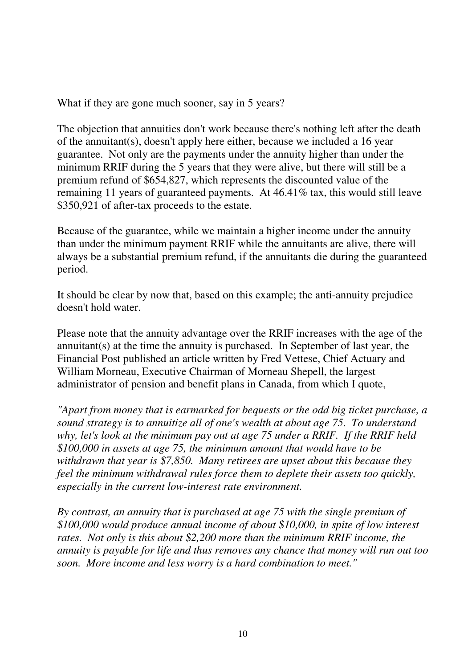What if they are gone much sooner, say in 5 years?

The objection that annuities don't work because there's nothing left after the death of the annuitant(s), doesn't apply here either, because we included a 16 year guarantee. Not only are the payments under the annuity higher than under the minimum RRIF during the 5 years that they were alive, but there will still be a premium refund of \$654,827, which represents the discounted value of the remaining 11 years of guaranteed payments. At 46.41% tax, this would still leave \$350,921 of after-tax proceeds to the estate.

Because of the guarantee, while we maintain a higher income under the annuity than under the minimum payment RRIF while the annuitants are alive, there will always be a substantial premium refund, if the annuitants die during the guaranteed period.

It should be clear by now that, based on this example; the anti-annuity prejudice doesn't hold water.

Please note that the annuity advantage over the RRIF increases with the age of the annuitant(s) at the time the annuity is purchased. In September of last year, the Financial Post published an article written by Fred Vettese, Chief Actuary and William Morneau, Executive Chairman of Morneau Shepell, the largest administrator of pension and benefit plans in Canada, from which I quote,

*"Apart from money that is earmarked for bequests or the odd big ticket purchase, a sound strategy is to annuitize all of one's wealth at about age 75. To understand why, let's look at the minimum pay out at age 75 under a RRIF. If the RRIF held \$100,000 in assets at age 75, the minimum amount that would have to be withdrawn that year is \$7,850. Many retirees are upset about this because they feel the minimum withdrawal rules force them to deplete their assets too quickly, especially in the current low-interest rate environment.* 

*By contrast, an annuity that is purchased at age 75 with the single premium of \$100,000 would produce annual income of about \$10,000, in spite of low interest rates. Not only is this about \$2,200 more than the minimum RRIF income, the annuity is payable for life and thus removes any chance that money will run out too soon. More income and less worry is a hard combination to meet."*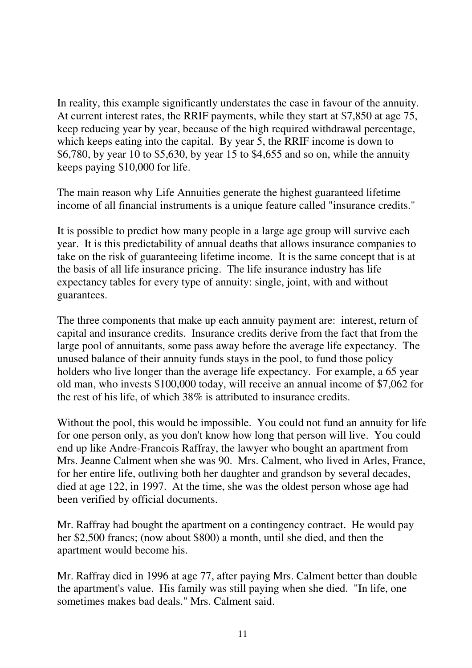In reality, this example significantly understates the case in favour of the annuity. At current interest rates, the RRIF payments, while they start at \$7,850 at age 75, keep reducing year by year, because of the high required withdrawal percentage, which keeps eating into the capital. By year 5, the RRIF income is down to \$6,780, by year 10 to \$5,630, by year 15 to \$4,655 and so on, while the annuity keeps paying \$10,000 for life.

The main reason why Life Annuities generate the highest guaranteed lifetime income of all financial instruments is a unique feature called "insurance credits."

It is possible to predict how many people in a large age group will survive each year. It is this predictability of annual deaths that allows insurance companies to take on the risk of guaranteeing lifetime income. It is the same concept that is at the basis of all life insurance pricing. The life insurance industry has life expectancy tables for every type of annuity: single, joint, with and without guarantees.

The three components that make up each annuity payment are: interest, return of capital and insurance credits. Insurance credits derive from the fact that from the large pool of annuitants, some pass away before the average life expectancy. The unused balance of their annuity funds stays in the pool, to fund those policy holders who live longer than the average life expectancy. For example, a 65 year old man, who invests \$100,000 today, will receive an annual income of \$7,062 for the rest of his life, of which 38% is attributed to insurance credits.

Without the pool, this would be impossible. You could not fund an annuity for life for one person only, as you don't know how long that person will live. You could end up like Andre-Francois Raffray, the lawyer who bought an apartment from Mrs. Jeanne Calment when she was 90. Mrs. Calment, who lived in Arles, France, for her entire life, outliving both her daughter and grandson by several decades, died at age 122, in 1997. At the time, she was the oldest person whose age had been verified by official documents.

Mr. Raffray had bought the apartment on a contingency contract. He would pay her \$2,500 francs; (now about \$800) a month, until she died, and then the apartment would become his.

Mr. Raffray died in 1996 at age 77, after paying Mrs. Calment better than double the apartment's value. His family was still paying when she died. "In life, one sometimes makes bad deals." Mrs. Calment said.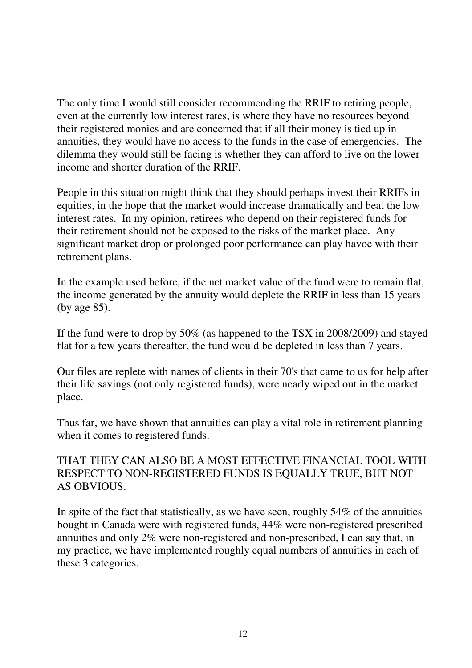The only time I would still consider recommending the RRIF to retiring people, even at the currently low interest rates, is where they have no resources beyond their registered monies and are concerned that if all their money is tied up in annuities, they would have no access to the funds in the case of emergencies. The dilemma they would still be facing is whether they can afford to live on the lower income and shorter duration of the RRIF.

People in this situation might think that they should perhaps invest their RRIFs in equities, in the hope that the market would increase dramatically and beat the low interest rates. In my opinion, retirees who depend on their registered funds for their retirement should not be exposed to the risks of the market place. Any significant market drop or prolonged poor performance can play havoc with their retirement plans.

In the example used before, if the net market value of the fund were to remain flat, the income generated by the annuity would deplete the RRIF in less than 15 years (by age 85).

If the fund were to drop by 50% (as happened to the TSX in 2008/2009) and stayed flat for a few years thereafter, the fund would be depleted in less than 7 years.

Our files are replete with names of clients in their 70's that came to us for help after their life savings (not only registered funds), were nearly wiped out in the market place.

Thus far, we have shown that annuities can play a vital role in retirement planning when it comes to registered funds.

# THAT THEY CAN ALSO BE A MOST EFFECTIVE FINANCIAL TOOL WITH RESPECT TO NON-REGISTERED FUNDS IS EQUALLY TRUE, BUT NOT AS OBVIOUS.

In spite of the fact that statistically, as we have seen, roughly 54% of the annuities bought in Canada were with registered funds, 44% were non-registered prescribed annuities and only 2% were non-registered and non-prescribed, I can say that, in my practice, we have implemented roughly equal numbers of annuities in each of these 3 categories.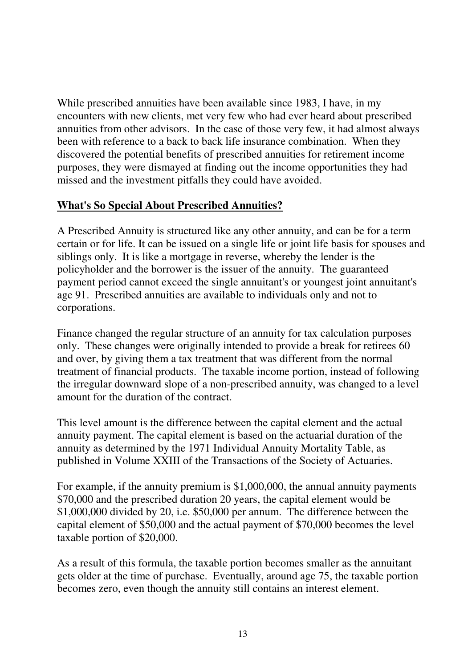While prescribed annuities have been available since 1983, I have, in my encounters with new clients, met very few who had ever heard about prescribed annuities from other advisors. In the case of those very few, it had almost always been with reference to a back to back life insurance combination. When they discovered the potential benefits of prescribed annuities for retirement income purposes, they were dismayed at finding out the income opportunities they had missed and the investment pitfalls they could have avoided.

### **What's So Special About Prescribed Annuities?**

A Prescribed Annuity is structured like any other annuity, and can be for a term certain or for life. It can be issued on a single life or joint life basis for spouses and siblings only. It is like a mortgage in reverse, whereby the lender is the policyholder and the borrower is the issuer of the annuity. The guaranteed payment period cannot exceed the single annuitant's or youngest joint annuitant's age 91. Prescribed annuities are available to individuals only and not to corporations.

Finance changed the regular structure of an annuity for tax calculation purposes only. These changes were originally intended to provide a break for retirees 60 and over, by giving them a tax treatment that was different from the normal treatment of financial products. The taxable income portion, instead of following the irregular downward slope of a non-prescribed annuity, was changed to a level amount for the duration of the contract.

This level amount is the difference between the capital element and the actual annuity payment. The capital element is based on the actuarial duration of the annuity as determined by the 1971 Individual Annuity Mortality Table, as published in Volume XXIII of the Transactions of the Society of Actuaries.

For example, if the annuity premium is \$1,000,000, the annual annuity payments \$70,000 and the prescribed duration 20 years, the capital element would be \$1,000,000 divided by 20, i.e. \$50,000 per annum. The difference between the capital element of \$50,000 and the actual payment of \$70,000 becomes the level taxable portion of \$20,000.

As a result of this formula, the taxable portion becomes smaller as the annuitant gets older at the time of purchase. Eventually, around age 75, the taxable portion becomes zero, even though the annuity still contains an interest element.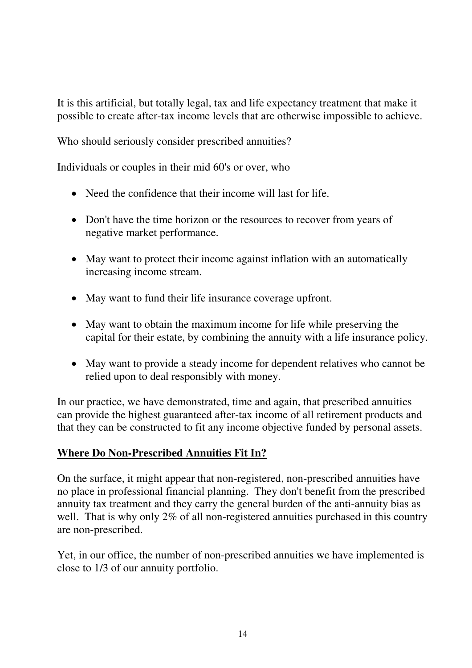It is this artificial, but totally legal, tax and life expectancy treatment that make it possible to create after-tax income levels that are otherwise impossible to achieve.

Who should seriously consider prescribed annuities?

Individuals or couples in their mid 60's or over, who

- Need the confidence that their income will last for life.
- Don't have the time horizon or the resources to recover from years of negative market performance.
- May want to protect their income against inflation with an automatically increasing income stream.
- May want to fund their life insurance coverage upfront.
- May want to obtain the maximum income for life while preserving the capital for their estate, by combining the annuity with a life insurance policy.
- May want to provide a steady income for dependent relatives who cannot be relied upon to deal responsibly with money.

In our practice, we have demonstrated, time and again, that prescribed annuities can provide the highest guaranteed after-tax income of all retirement products and that they can be constructed to fit any income objective funded by personal assets.

# **Where Do Non-Prescribed Annuities Fit In?**

On the surface, it might appear that non-registered, non-prescribed annuities have no place in professional financial planning. They don't benefit from the prescribed annuity tax treatment and they carry the general burden of the anti-annuity bias as well. That is why only 2% of all non-registered annuities purchased in this country are non-prescribed.

Yet, in our office, the number of non-prescribed annuities we have implemented is close to 1/3 of our annuity portfolio.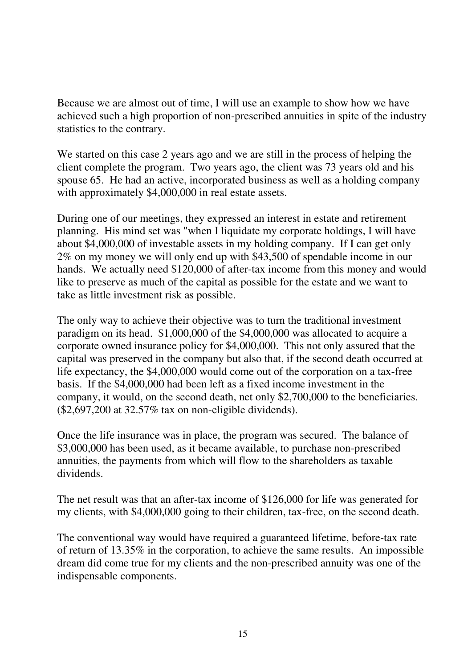Because we are almost out of time, I will use an example to show how we have achieved such a high proportion of non-prescribed annuities in spite of the industry statistics to the contrary.

We started on this case 2 years ago and we are still in the process of helping the client complete the program. Two years ago, the client was 73 years old and his spouse 65. He had an active, incorporated business as well as a holding company with approximately \$4,000,000 in real estate assets.

During one of our meetings, they expressed an interest in estate and retirement planning. His mind set was "when I liquidate my corporate holdings, I will have about \$4,000,000 of investable assets in my holding company. If I can get only 2% on my money we will only end up with \$43,500 of spendable income in our hands. We actually need \$120,000 of after-tax income from this money and would like to preserve as much of the capital as possible for the estate and we want to take as little investment risk as possible.

The only way to achieve their objective was to turn the traditional investment paradigm on its head. \$1,000,000 of the \$4,000,000 was allocated to acquire a corporate owned insurance policy for \$4,000,000. This not only assured that the capital was preserved in the company but also that, if the second death occurred at life expectancy, the \$4,000,000 would come out of the corporation on a tax-free basis. If the \$4,000,000 had been left as a fixed income investment in the company, it would, on the second death, net only \$2,700,000 to the beneficiaries. (\$2,697,200 at 32.57% tax on non-eligible dividends).

Once the life insurance was in place, the program was secured. The balance of \$3,000,000 has been used, as it became available, to purchase non-prescribed annuities, the payments from which will flow to the shareholders as taxable dividends.

The net result was that an after-tax income of \$126,000 for life was generated for my clients, with \$4,000,000 going to their children, tax-free, on the second death.

The conventional way would have required a guaranteed lifetime, before-tax rate of return of 13.35% in the corporation, to achieve the same results. An impossible dream did come true for my clients and the non-prescribed annuity was one of the indispensable components.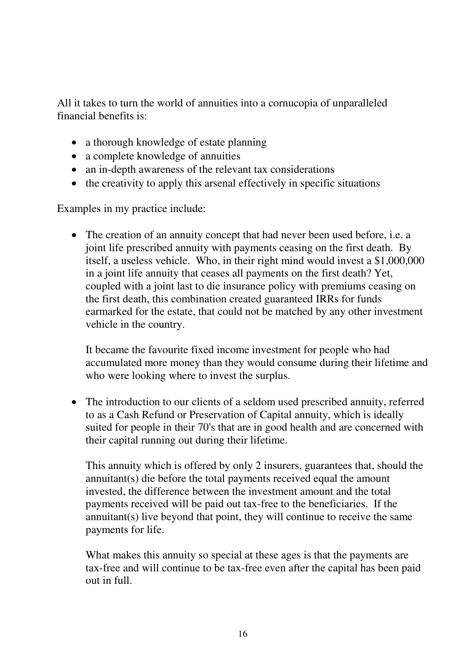All it takes to turn the world of annuities into a cornucopia of unparalleled financial benefits is:

- a thorough knowledge of estate planning
- a complete knowledge of annuities
- an in-depth awareness of the relevant tax considerations
- the creativity to apply this arsenal effectively in specific situations

Examples in my practice include:

• The creation of an annuity concept that had never been used before, i.e. a joint life prescribed annuity with payments ceasing on the first death. By itself, a useless vehicle. Who, in their right mind would invest a \$1,000,000 in a joint life annuity that ceases all payments on the first death? Yet, coupled with a joint last to die insurance policy with premiums ceasing on the first death, this combination created guaranteed IRRs for funds earmarked for the estate, that could not be matched by any other investment vehicle in the country.

It became the favourite fixed income investment for people who had accumulated more money than they would consume during their lifetime and who were looking where to invest the surplus.

• The introduction to our clients of a seldom used prescribed annuity, referred to as a Cash Refund or Preservation of Capital annuity, which is ideally suited for people in their 70's that are in good health and are concerned with their capital running out during their lifetime.

 This annuity which is offered by only 2 insurers, guarantees that, should the annuitant(s) die before the total payments received equal the amount invested, the difference between the investment amount and the total payments received will be paid out tax-free to the beneficiaries. If the annuitant(s) live beyond that point, they will continue to receive the same payments for life.

What makes this annuity so special at these ages is that the payments are tax-free and will continue to be tax-free even after the capital has been paid out in full.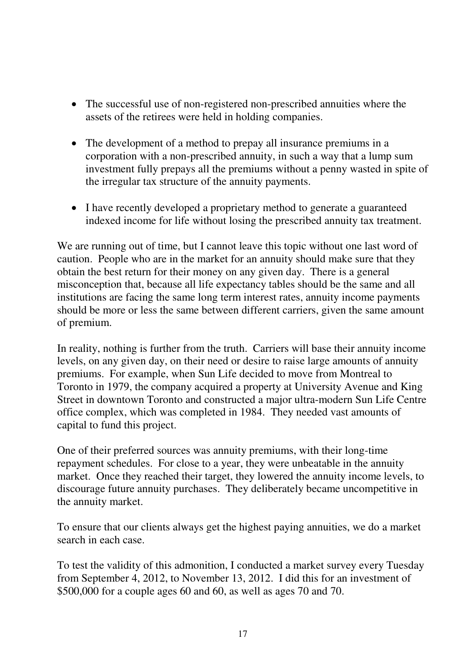- The successful use of non-registered non-prescribed annuities where the assets of the retirees were held in holding companies.
- The development of a method to prepay all insurance premiums in a corporation with a non-prescribed annuity, in such a way that a lump sum investment fully prepays all the premiums without a penny wasted in spite of the irregular tax structure of the annuity payments.
- I have recently developed a proprietary method to generate a guaranteed indexed income for life without losing the prescribed annuity tax treatment.

We are running out of time, but I cannot leave this topic without one last word of caution. People who are in the market for an annuity should make sure that they obtain the best return for their money on any given day. There is a general misconception that, because all life expectancy tables should be the same and all institutions are facing the same long term interest rates, annuity income payments should be more or less the same between different carriers, given the same amount of premium.

In reality, nothing is further from the truth. Carriers will base their annuity income levels, on any given day, on their need or desire to raise large amounts of annuity premiums. For example, when Sun Life decided to move from Montreal to Toronto in 1979, the company acquired a property at University Avenue and King Street in downtown Toronto and constructed a major ultra-modern Sun Life Centre office complex, which was completed in 1984. They needed vast amounts of capital to fund this project.

One of their preferred sources was annuity premiums, with their long-time repayment schedules. For close to a year, they were unbeatable in the annuity market. Once they reached their target, they lowered the annuity income levels, to discourage future annuity purchases. They deliberately became uncompetitive in the annuity market.

To ensure that our clients always get the highest paying annuities, we do a market search in each case.

To test the validity of this admonition, I conducted a market survey every Tuesday from September 4, 2012, to November 13, 2012. I did this for an investment of \$500,000 for a couple ages 60 and 60, as well as ages 70 and 70.